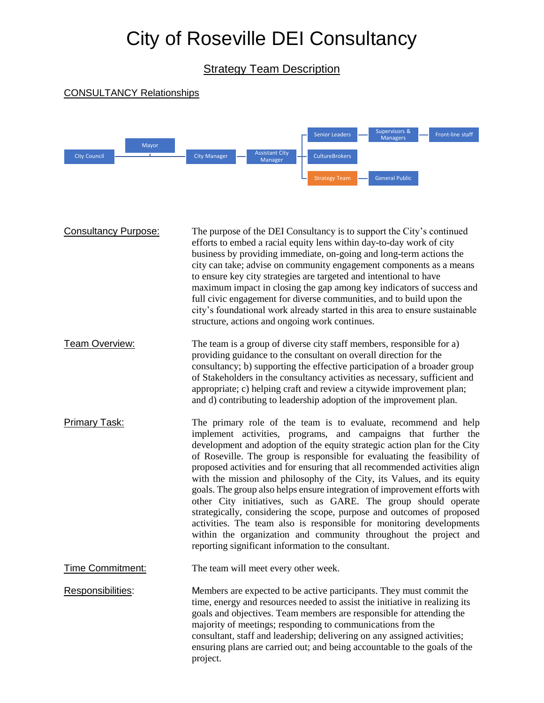## City of Roseville DEI Consultancy

Strategy Team Description

## CONSULTANCY Relationships



Consultancy Purpose: The purpose of the DEI Consultancy is to support the City's continued efforts to embed a racial equity lens within day-to-day work of city business by providing immediate, on-going and long-term actions the city can take; advise on community engagement components as a means to ensure key city strategies are targeted and intentional to have maximum impact in closing the gap among key indicators of success and full civic engagement for diverse communities, and to build upon the city's foundational work already started in this area to ensure sustainable structure, actions and ongoing work continues. Team Overview: The team is a group of diverse city staff members, responsible for a) providing guidance to the consultant on overall direction for the consultancy; b) supporting the effective participation of a broader group of Stakeholders in the consultancy activities as necessary, sufficient and appropriate; c) helping craft and review a citywide improvement plan;

Primary Task: The primary role of the team is to evaluate, recommend and help implement activities, programs, and campaigns that further the development and adoption of the equity strategic action plan for the City of Roseville. The group is responsible for evaluating the feasibility of proposed activities and for ensuring that all recommended activities align with the mission and philosophy of the City, its Values, and its equity goals. The group also helps ensure integration of improvement efforts with other City initiatives, such as GARE. The group should operate strategically, considering the scope, purpose and outcomes of proposed activities. The team also is responsible for monitoring developments within the organization and community throughout the project and reporting significant information to the consultant.

and d) contributing to leadership adoption of the improvement plan.

Time Commitment: The team will meet every other week.

Responsibilities: Members are expected to be active participants. They must commit the time, energy and resources needed to assist the initiative in realizing its goals and objectives. Team members are responsible for attending the majority of meetings; responding to communications from the consultant, staff and leadership; delivering on any assigned activities; ensuring plans are carried out; and being accountable to the goals of the project.